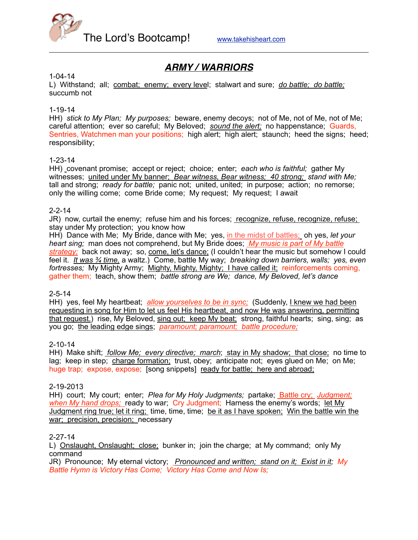

# *ARMY / WARRIORS*

#### 1-04-14

L) Withstand; all; combat; enemy; every level; stalwart and sure; *do battle; do battle;* succumb not

### 1-19-14

HH) *stick to My Plan; My purposes;* beware, enemy decoys; not of Me, not of Me, not of Me; careful attention; ever so careful; My Beloved; *sound the alert;* no happenstance; Guards, Sentries, Watchmen man your positions; high alert; high alert; staunch; heed the signs; heed; responsibility;

#### 1-23-14

HH) covenant promise; accept or reject; choice; enter; *each who is faithful;* gather My witnesses; united under My banner; *Bear witness, Bear witness; 40 strong; stand with Me;* tall and strong; *ready for battle;* panic not; united, united; in purpose; action; no remorse; only the willing come; come Bride come; My request; My request; I await

#### 2-2-14

JR) now, curtail the enemy; refuse him and his forces; recognize, refuse, recognize, refuse; stay under My protection; you know how

HH) Dance with Me; My Bride, dance with Me; yes, in the midst of battles; oh yes, *let your heart sing;* man does not comprehend, but My Bride does; *My music is part of My battle strategy;* back not away; so, come, let's dance; (I couldn't hear the music but somehow I could feel it. *It was ¾ time,* a waltz.) Come, battle My way; *breaking down barriers, walls; yes, even fortresses;* My Mighty Army; Mighty, Mighty, Mighty; I have called it; reinforcements coming, gather them; teach, show them; *battle strong are We; dance, My Beloved, let's dance*

#### 2-5-14

HH) yes, feel My heartbeat; *allow yourselves to be in sync;* (Suddenly, I knew we had been requesting in song for Him to let us feel His heartbeat, and now He was answering, permitting that request.) rise, My Beloved, sing out; keep My beat; strong, faithful hearts; sing, sing; as you go; the leading edge sings; *paramount; paramount; battle procedure;*

#### 2-10-14

HH) Make shift; *follow Me; every directive; march*; stay in My shadow; that close; no time to lag; keep in step; charge formation; trust, obey; anticipate not; eyes glued on Me; on Me; huge trap; expose, expose; [song snippets] ready for battle; here and abroad;

#### 2-19-2013

HH) court; My court; enter; *Plea for My Holy Judgments;* partake; Battle cry; *Judgment; when My hand drops;* ready to war; Cry Judgment; Harness the enemy's words; let My Judgment ring true; let it ring; time, time, time; be it as I have spoken; Win the battle win the war; precision, precision; necessary

### 2-27-14

L) Onslaught, Onslaught; close; bunker in; join the charge; at My command; only My command

JR) Pronounce; My eternal victory; *Pronounced and written; stand on it; Exist in it; My Battle Hymn is Victory Has Come; Victory Has Come and Now Is;*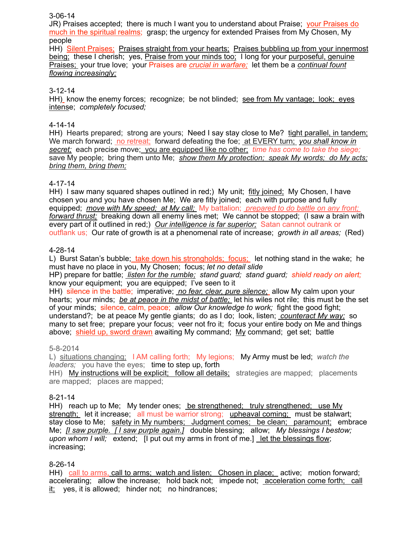### 3-06-14

JR) Praises accepted; there is much I want you to understand about Praise; your Praises do much in the spiritual realms; grasp; the urgency for extended Praises from My Chosen, My people

HH) Silent Praises; Praises straight from your hearts; Praises bubbling up from your innermost being; these I cherish; yes, Praise from your minds too; I long for your purposeful, genuine Praises; your true love; your Praises are *crucial in warfare;* let them be a *continual fount flowing increasingly;*

### 3-12-14

HH) know the enemy forces; recognize; be not blinded; see from My vantage; look; eyes intense; *completely focused;*

### 4-14-14

HH) Hearts prepared: strong are yours; Need I say stay close to Me? tight parallel, in tandem; We march forward; no retreat; forward defeating the foe; at EVERY turn; *you shall know in secret;* each precise move; you are equipped like no other; *time has come to take the siege;* save My people; bring them unto Me; *show them My protection; speak My words; do My acts; bring them, bring them;*

### 4-17-14

HH) I saw many squared shapes outlined in red;) My unit; fitly joined; My Chosen, I have chosen you and you have chosen Me; We are fitly joined; each with purpose and fully equipped; *move with My speed; at My call;* My battalion; *prepared to do battle on any front; forward thrust;* breaking down all enemy lines met; We cannot be stopped; (I saw a brain with every part of it outlined in red;) *Our intelligence is far superior;* Satan cannot outrank or outflank us; Our rate of growth is at a phenomenal rate of increase; *growth in all areas;* (Red)

### 4-28-14

L) Burst Satan's bubble; take down his strongholds; focus; let nothing stand in the wake; he must have no place in you, My Chosen; focus; *let no detail slide*

HP) prepare for battle; *listen for the rumble; stand guard; stand guard; shield ready on alert;* know your equipment; you are equipped; I've seen to it

HH) silence in the battle; imperative; *no fear, clear, pure silence;* allow My calm upon your hearts; your minds; *be at peace in the midst of battle;* let his wiles not rile; this must be the set of your minds; silence, calm, peace; *allow Our knowledge to work;* fight the good fight; understand?; be at peace My gentle giants; do as I do; look, listen; *counteract My way;* so many to set free; prepare your focus; veer not fro it; focus your entire body on Me and things above; shield up, sword drawn awaiting My command; My command; get set; battle

#### 5-8-2014

L) situations changing; I AM calling forth; My legions; My Army must be led; *watch the leaders;* you have the eyes; time to step up, forth

HH) My instructions will be explicit; follow all details; strategies are mapped; placements are mapped; places are mapped;

#### 8-21-14

HH) reach up to Me; My tender ones; be strengthened; truly strengthened; use My strength; let it increase; all must be warrior strong; upheaval coming; must be stalwart; stay close to Me; safety in My numbers; Judgment comes; be clean; paramount; embrace Me; *[I saw purple. [ I saw purple again.]* double blessing; allow; *My blessings I bestow; upon whom I will;* extend; [I put out my arms in front of me.] let the blessings flow; increasing;

#### 8-26-14

HH) call to arms, call to arms; watch and listen; Chosen in place; active; motion forward; accelerating; allow the increase; hold back not; impede not; acceleration come forth; call it; yes, it is allowed; hinder not; no hindrances;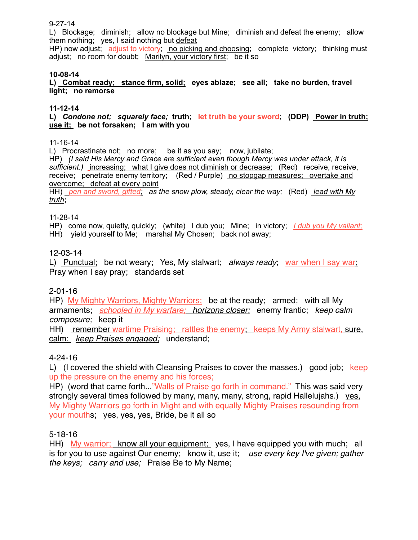# 9-27-14

L) Blockage; diminish; allow no blockage but Mine; diminish and defeat the enemy; allow them nothing; yes, I said nothing but defeat

HP) now adjust; adjust to victory; no picking and choosing**;** complete victory; thinking must adjust; no room for doubt; Marilyn, your victory first; be it so

### **10-08-14**

**L) Combat ready; stance firm, solid; eyes ablaze; see all; take no burden, travel light; no remorse** 

### **11-12-14**

**L)** *Condone not; squarely face;* **truth; let truth be your sword; (DDP) Power in truth; use it; be not forsaken; I am with you** 

#### 11-16-14

L) Procrastinate not; no more; be it as you say; now, jubilate;

HP) *(I said His Mercy and Grace are sufficient even though Mercy was under attack, it is sufficient.)* increasing; what I give does not diminish or decrease; (Red) receive, receive, receive; penetrate enemy territory; (Red / Purple) no stopgap measures; overtake and overcome; defeat at every point

HH) *pen and sword, gifted; as the snow plow, steady, clear the way;* (Red) *lead with My truth***;** 

### 11-28-14

HP) come now, quietly, quickly; (white) I dub you; Mine; in victory; *I dub you My valiant;* HH) yield yourself to Me; marshal My Chosen; back not away;

## 12-03-14

L) Punctual; be not weary; Yes, My stalwart; *always ready*; war when I say war; Pray when I say pray; standards set

## 2-01-16

HP) My Mighty Warriors, Mighty Warriors; be at the ready; armed; with all My armaments; *schooled in My warfare; horizons closer;* enemy frantic; *keep calm composure;* keep it

HH) remember wartime Praising; rattles the enemy; keeps My Army stalwart, sure, calm; *keep Praises engaged;* understand;

## 4-24-16

L) (I covered the shield with Cleansing Praises to cover the masses.) good job; keep up the pressure on the enemy and his forces;

HP) (word that came forth..."Walls of Praise go forth in command." This was said very strongly several times followed by many, many, many, strong, rapid Hallelujahs.) yes, My Mighty Warriors go forth in Might and with equally Mighty Praises resounding from your mouths; yes, yes, yes, Bride, be it all so

## 5-18-16

HH) My warrior; know all your equipment; yes, I have equipped you with much; all is for you to use against Our enemy; know it, use it; *use every key I've given; gather the keys; carry and use;* Praise Be to My Name;